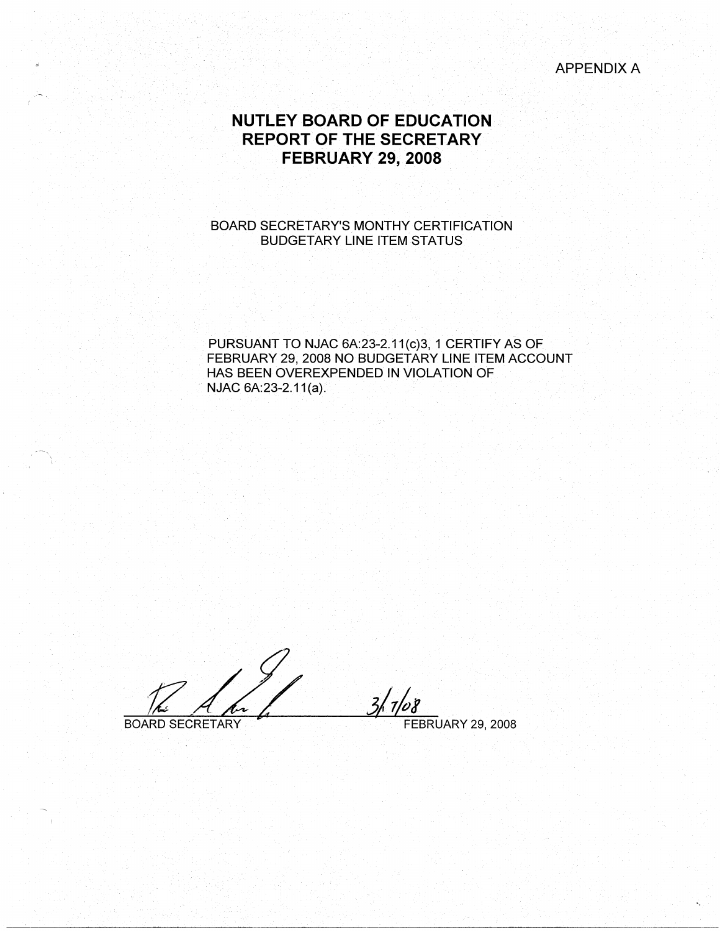# APPENDIX A

# **NUTLEY BOARD OF EDUCATION REPORT OF THE SECRETARY FEBRUARY 29, 2008**

# BOARD SECRETARY'S MONTHY CERTIFICATION BUDGETARY LINE ITEM STATUS

PURSUANT TO NJAC 6A:23-2.11(c)3, 1 CERTIFY AS OF FEBRUARY 29, 2008 NO BUDGETARY LINE ITEM ACCOUNT HAS BEEN OVEREXPENDED IN VIOLATION OF NJAC 6A:23-2.11(a).

. .  $\frac{1}{\sqrt{2}}\frac{1}{\sqrt{2}}\frac{1}{\sqrt{2}}$ BOARD SECRETARY **FEBRUARY 29, 2008**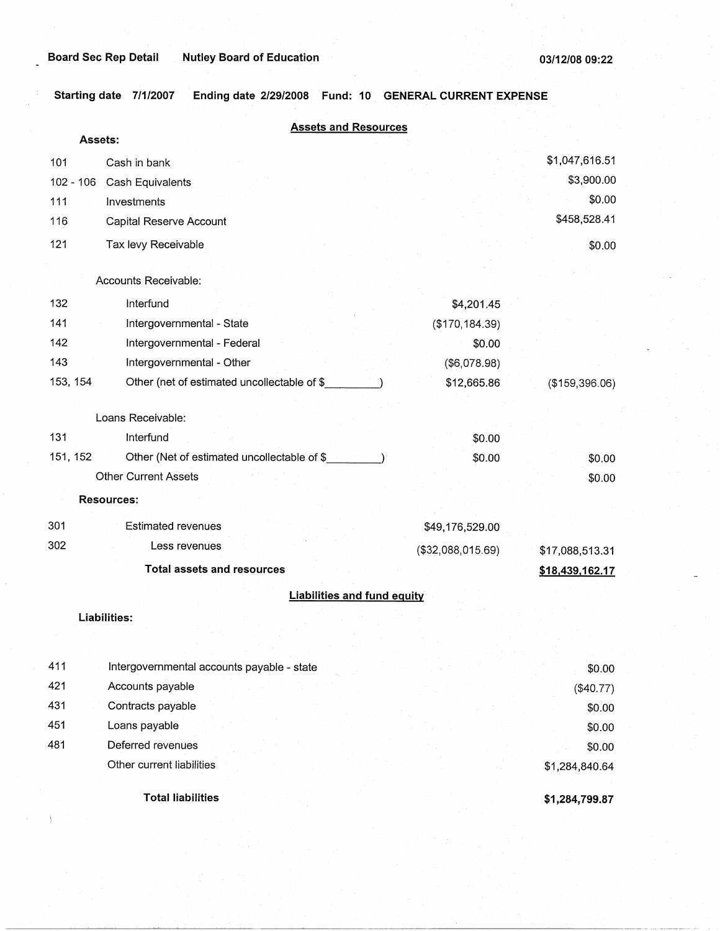**Starting date 7/1/2007 Ending date 2/29/2008 Fund: 10 GENERAL CURRENT EXPENSE** 

|     | <b>Assets and Resources</b>                             |                   |                 |
|-----|---------------------------------------------------------|-------------------|-----------------|
|     | <b>Assets:</b>                                          |                   |                 |
| 101 | Cash in bank                                            |                   | \$1,047,616.51  |
|     | $102 - 106$<br>Cash Equivalents                         |                   | \$3,900.00      |
| 111 | Investments                                             |                   | \$0.00          |
| 116 | Capital Reserve Account                                 |                   | \$458,528.41    |
| 121 | Tax levy Receivable                                     |                   | \$0.00          |
|     |                                                         |                   |                 |
|     | Accounts Receivable:                                    |                   |                 |
| 132 | Interfund                                               | \$4,201.45        |                 |
| 141 | Intergovernmental - State                               | (\$170, 184.39)   |                 |
| 142 | Intergovernmental - Federal                             | \$0.00            |                 |
| 143 | Intergovernmental - Other                               | (\$6,078.98)      |                 |
|     | 153, 154<br>Other (net of estimated uncollectable of \$ | \$12,665.86       | (\$159,396.06)  |
|     | Loans Receivable:                                       |                   |                 |
| 131 | Interfund                                               | \$0.00            |                 |
|     | Other (Net of estimated uncollectable of \$<br>151, 152 | \$0.00            | \$0.00          |
|     | <b>Other Current Assets</b>                             |                   | \$0.00          |
|     | <b>Resources:</b>                                       |                   |                 |
| 301 | <b>Estimated revenues</b>                               | \$49,176,529.00   |                 |
| 302 | Less revenues                                           | (\$32,088,015.69) | \$17,088,513.31 |
|     | <b>Total assets and resources</b>                       |                   | \$18,439,162.17 |
|     | <b>Liabilities and fund equity</b>                      |                   |                 |
|     | Liabilities:                                            |                   |                 |
|     |                                                         |                   |                 |
| 411 | Intergovernmental accounts payable - state              |                   | \$0.00          |
| 421 | Accounts payable                                        |                   | (\$40.77)       |
| 431 | Contracts payable                                       |                   | \$0.00          |
| 451 | Loans payable                                           |                   | \$0.00          |
| 481 | Deferred revenues                                       |                   | \$0.00          |
|     | Other current liabilities                               |                   | \$1,284,840.64  |
|     | <b>Total liabilities</b>                                |                   | \$1,284,799.87  |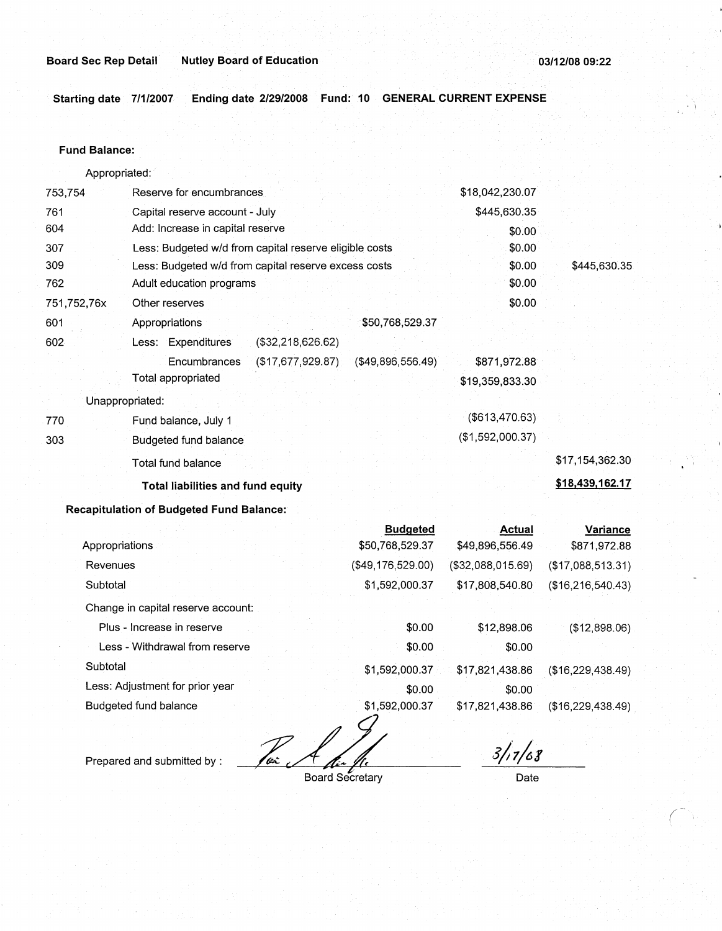**Starting date 7/1/2007 Ending date 2/29/2008 Fund: 10 GENERAL CURRENT EXPENSE** 

## **Fund Balance:**

| Appropriated: |                                                        |                   |                      |                  |                 |
|---------------|--------------------------------------------------------|-------------------|----------------------|------------------|-----------------|
| 753,754       | Reserve for encumbrances                               |                   |                      | \$18,042,230.07  |                 |
| 761           | Capital reserve account - July                         |                   |                      | \$445,630.35     |                 |
| 604           | Add: Increase in capital reserve                       |                   |                      | \$0.00           |                 |
| 307           | Less: Budgeted w/d from capital reserve eligible costs |                   |                      | \$0.00           |                 |
| 309           | Less: Budgeted w/d from capital reserve excess costs   |                   |                      | \$0.00           | \$445,630.35    |
| 762           | Adult education programs                               |                   |                      | \$0.00           |                 |
| 751,752,76x   | Other reserves                                         |                   |                      | \$0.00           |                 |
| 601           | Appropriations                                         |                   | \$50,768,529.37      |                  |                 |
| 602           | Less: Expenditures                                     | (\$32,218,626.62) |                      |                  |                 |
|               | Encumbrances                                           | (\$17,677,929.87) | $($ \$49,896,556.49) | \$871,972.88     |                 |
|               | Total appropriated                                     |                   |                      | \$19,359,833.30  |                 |
|               | Unappropriated:                                        |                   |                      |                  |                 |
| 770           | Fund balance, July 1                                   |                   |                      | (\$613,470.63)   |                 |
| 303           | Budgeted fund balance                                  |                   |                      | (\$1,592,000.37) |                 |
|               | Total fund balance                                     |                   |                      |                  | \$17,154,362.30 |
|               | <b>Total liabilities and fund equity</b>               |                   |                      |                  | \$18,439,162.17 |
|               | <b>Recapitulation of Budgeted Fund Balance:</b>        |                   |                      |                  |                 |
|               |                                                        |                   | <b>Budgeted</b>      | Actual           | <b>Variance</b> |

|                                    | puuyotou          | Avuur             | <b>Valiative</b>    |
|------------------------------------|-------------------|-------------------|---------------------|
| Appropriations                     | \$50,768,529.37   | \$49,896,556.49   | \$871,972.88        |
| Revenues                           | (\$49,176,529.00) | (\$32,088,015.69) | (\$17,088,513.31)   |
| Subtotal                           | \$1,592,000.37    | \$17,808,540.80   | (\$16, 216, 540.43) |
| Change in capital reserve account: |                   |                   |                     |
| Plus - Increase in reserve         | \$0.00            | \$12,898.06       | (\$12,898.06)       |
| Less - Withdrawal from reserve     | \$0.00            | \$0.00            |                     |
| Subtotal                           | \$1,592,000.37    | \$17,821,438.86   | (\$16,229,438.49)   |
| Less: Adjustment for prior year    | \$0.00            | \$0.00            |                     |
| Budgeted fund balance              | \$1,592,000.37    | \$17,821,438.86   | (\$16,229,438.49)   |
|                                    |                   |                   |                     |

Prepared and submitted by : *Zec.* Alixe fischer Board Secretary

*3/;1/c,1* 

Date

*(*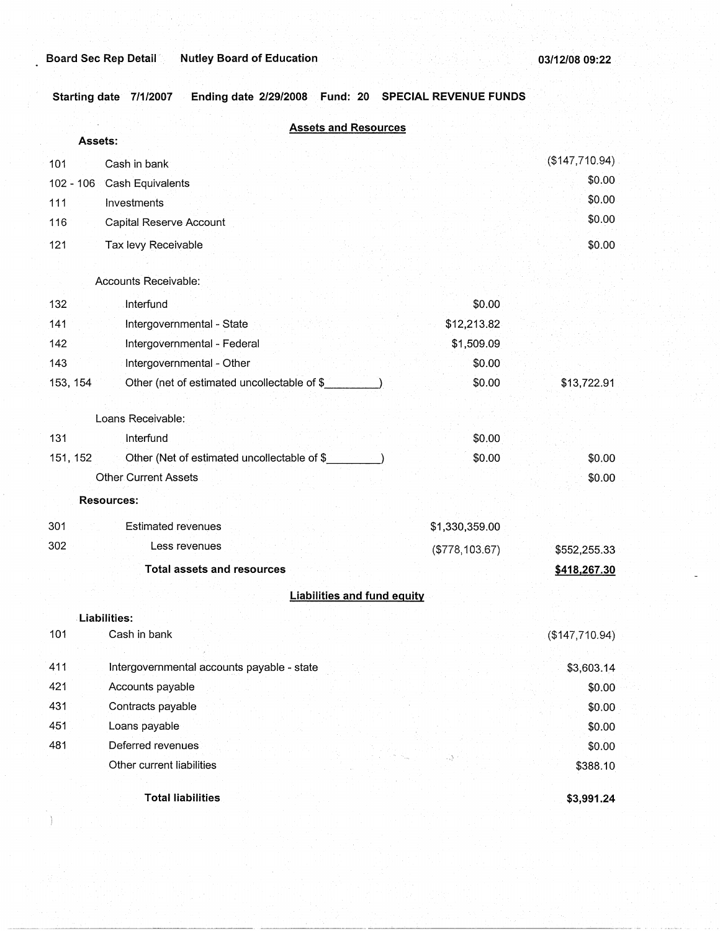**Starting date 7/1/2007 Ending date 2/29/2008 Fund: 20 SPECIAL REVENUE FUNDS** 

|                                                         | <b>Assets and Resources</b>        |                                |
|---------------------------------------------------------|------------------------------------|--------------------------------|
| Assets:                                                 |                                    |                                |
| 101<br>Cash in bank                                     |                                    | (\$147,710.94)                 |
| $102 - 106$<br>Cash Equivalents                         |                                    | \$0.00                         |
| Investments<br>111                                      |                                    | \$0.00                         |
| 116<br>Capital Reserve Account                          |                                    | \$0.00                         |
| 121<br>Tax levy Receivable                              |                                    | \$0.00                         |
| Accounts Receivable:                                    |                                    |                                |
|                                                         |                                    |                                |
| 132<br>Interfund                                        |                                    | \$0.00                         |
| Intergovernmental - State<br>141                        |                                    | \$12,213.82                    |
| Intergovernmental - Federal<br>142                      |                                    | \$1,509.09                     |
| 143<br>Intergovernmental - Other                        |                                    | \$0.00<br>\$0.00               |
| 153, 154<br>Other (net of estimated uncollectable of \$ |                                    | \$13,722.91                    |
| Loans Receivable:                                       |                                    |                                |
| 131<br>Interfund                                        |                                    | \$0.00                         |
| 151, 152<br>Other (Net of estimated uncollectable of \$ |                                    | \$0.00<br>\$0.00               |
| <b>Other Current Assets</b>                             |                                    | \$0.00                         |
| <b>Resources:</b>                                       |                                    |                                |
| 301<br><b>Estimated revenues</b>                        |                                    | \$1,330,359.00                 |
| 302<br>Less revenues                                    |                                    | (\$778,103.67)<br>\$552,255.33 |
| <b>Total assets and resources</b>                       |                                    | \$418,267.30                   |
|                                                         | <b>Liabilities and fund equity</b> |                                |
| Liabilities:                                            |                                    |                                |
| 101<br>Cash in bank                                     |                                    | (\$147,710.94)                 |
|                                                         |                                    |                                |
| 411<br>Intergovernmental accounts payable - state       |                                    | \$3,603.14                     |
| 421<br>Accounts payable                                 |                                    | \$0.00                         |
| 431<br>Contracts payable                                |                                    | \$0.00                         |
| 451<br>Loans payable                                    |                                    | \$0.00                         |
| 481<br>Deferred revenues                                |                                    | \$0.00                         |
| Other current liabilities                               |                                    | \$388.10                       |
| <b>Total liabilities</b>                                |                                    | \$3,991.24                     |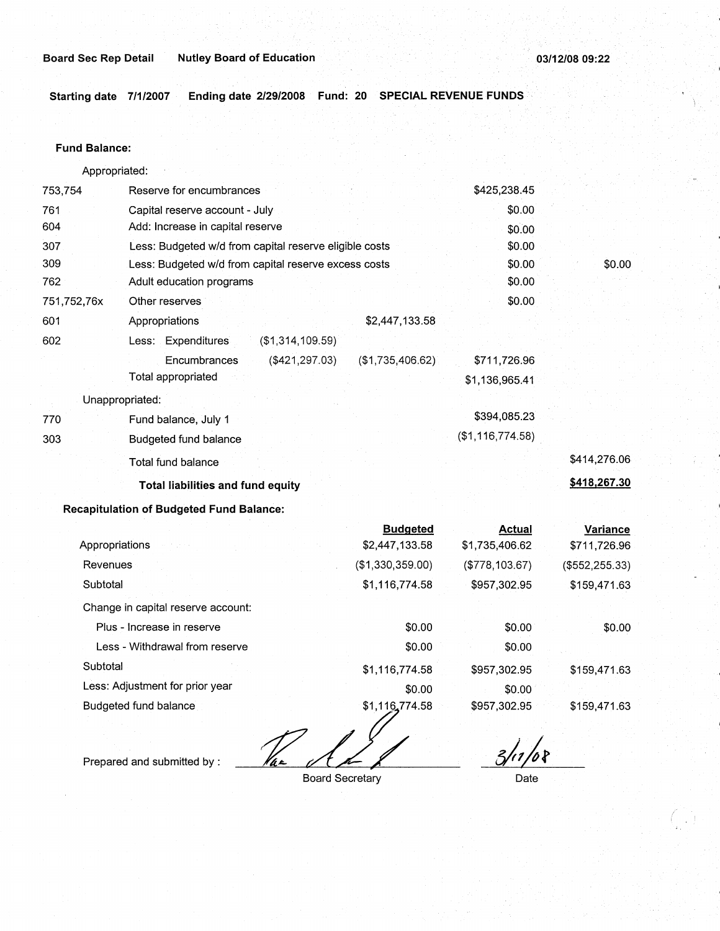**Starting date 7/1/2007** · **Ending date 2/29/2008 Fund: 20 SPECIAL REVENUE FUNDS.··.** 

#### **Fund Balance:**

753,754 761 604 Appropriated: Reserve for encumbrances Capital reserve account - July Add: Increase in capital reserve 307 309 762 751,752,76x 601 Less: Budgeted w/d from capital reserve eligible costs Less: Budgeted w/d from capital reserve excess costs Adult education programs 602 770 303 Other reserves Appropriations Less: Expenditures **Encumbrances** Total appropriated Unappropriated: Fund balance, July 1 Budgeted fund balance Total fund balance (\$1,314,109.59) (\$421,297.03) \$2,447,133.58 (\$1,735,406.62) **Total liabilities and fund equity**  \$425,238.45 \$0.00 \$0.00 \$0.00 \$0.00 \$0.00 \$0.00 \$711,726.96 \$1,136,965.41 \$394,085.23 (\$1,116,774.58) \$0.00 \$414,276.06 **\$418,267.30** 

## **Recapitulation of Budgeted Fund Balance:**

|                                    | <b>Budgeted</b>  | <b>Actual</b>  | Variance        |
|------------------------------------|------------------|----------------|-----------------|
| Appropriations                     | \$2,447,133.58   | \$1,735,406.62 | \$711,726.96    |
| Revenues                           | (\$1,330,359.00) | (\$778,103.67) | (\$552, 255.33) |
| Subtotal                           | \$1,116,774.58   | \$957,302.95   | \$159,471.63    |
| Change in capital reserve account: |                  |                |                 |
| Plus - Increase in reserve         | \$0.00           | \$0.00         | \$0.00          |
| Less - Withdrawal from reserve     | \$0.00           | \$0.00         |                 |
| Subtotal                           | \$1,116,774.58   | \$957,302.95   | \$159,471.63    |
| Less: Adjustment for prior year    | \$0.00           | \$0.00         |                 |
| Budgeted fund balance              | \$1,116,774.58   | \$957,302.95   | \$159,471.63    |
|                                    |                  |                |                 |

Prepared and submitted by :

Board Secretary

*a),j,* 

Date

(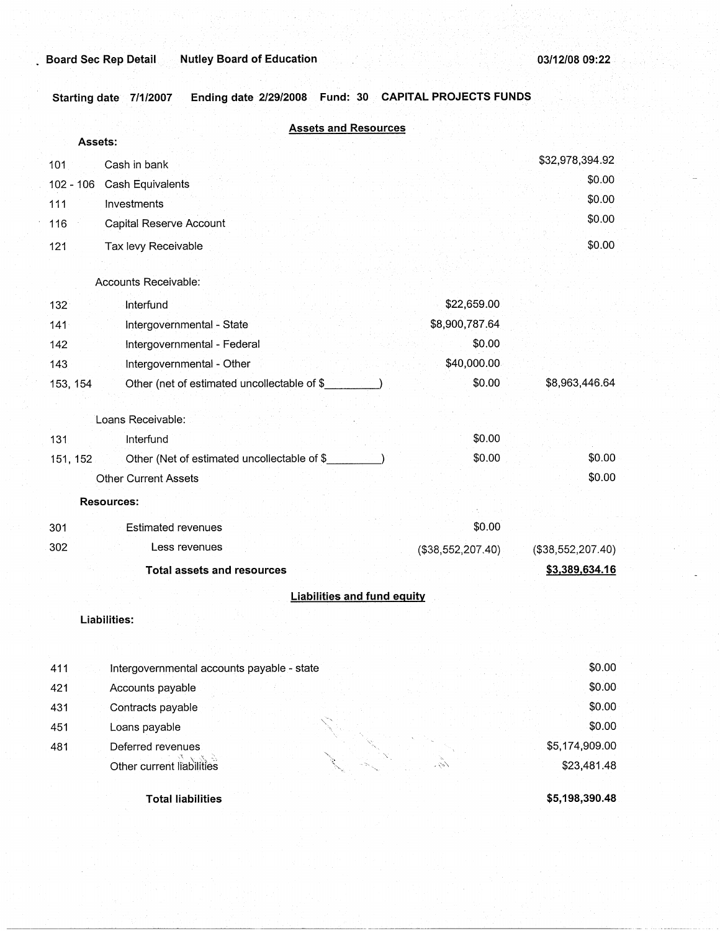**Starting date 7/1/2007 Ending date 2/29/2008 Fund: 30 CAPITAL PROJECTS FUNDS** 

|          | <b>Assets and Resources</b>                 |                   |                   |
|----------|---------------------------------------------|-------------------|-------------------|
|          | Assets:                                     |                   |                   |
| 101      | Cash in bank                                |                   | \$32,978,394.92   |
|          | 102 - 106 Cash Equivalents                  |                   | \$0.00            |
| 111      | Investments                                 |                   | \$0.00            |
| 116      | Capital Reserve Account                     |                   | \$0.00            |
| 121      | Tax levy Receivable                         |                   | \$0.00            |
|          | Accounts Receivable:                        |                   |                   |
| 132      | Interfund                                   | \$22,659.00       |                   |
| 141      | Intergovernmental - State                   | \$8,900,787.64    |                   |
| 142      | Intergovernmental - Federal                 | \$0.00            |                   |
| 143      | Intergovernmental - Other                   | \$40,000.00       |                   |
| 153, 154 | Other (net of estimated uncollectable of \$ | \$0.00            | \$8,963,446.64    |
|          | Loans Receivable:                           |                   |                   |
| 131      | Interfund                                   | \$0.00            |                   |
| 151, 152 | Other (Net of estimated uncollectable of \$ | \$0.00            | \$0.00            |
|          | <b>Other Current Assets</b>                 |                   | \$0.00            |
|          | <b>Resources:</b>                           |                   |                   |
| 301      | <b>Estimated revenues</b>                   | \$0.00            |                   |
| 302      | Less revenues                               | (\$38,552,207.40) | (\$38,552,207.40) |
|          | <b>Total assets and resources</b>           |                   | \$3,389,634.16    |
|          | <b>Liabilities and fund equity</b>          |                   |                   |
|          | Liabilities:                                |                   |                   |
|          |                                             |                   |                   |
|          |                                             |                   |                   |
| 411      | Intergovernmental accounts payable - state  |                   | \$0.00            |
| 421      | Accounts payable                            |                   | \$0.00            |
| 431      | Contracts payable                           |                   | \$0.00            |
| 451      | Loans payable                               |                   | \$0.00            |
| 481      | Deferred revenues                           |                   | \$5,174,909.00    |
|          | Other current liabilities                   | ショノ               | \$23,481.48       |
|          | <b>Total liabilities</b>                    |                   | \$5,198,390.48    |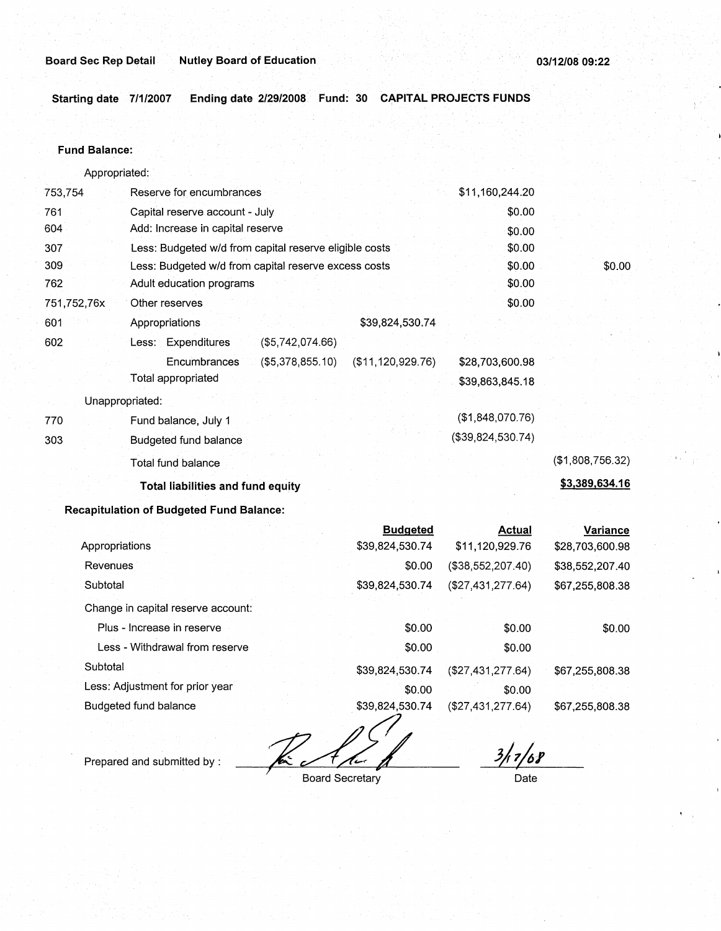**Starting date 7/1/2007 Ending date 2/29/2008 Fund: 30 CAPITAL PROJECTS FUNDS** 

#### **Fund Balance:**

Appropriated: 753,754 Reserve for encumbrances Capital reserve account - July Add: Increase in capital reserve 761 604 307 309 762 751,752,76x 601 Less: Budgeted w/d from capital reserve eligible costs Less: Budgeted w/d from capital reserve excess costs Adult education programs Other reserves Appropriations \$39,824,530.74 602 (\$5,742,074.66) Less: Expenditures 770 303 Encumbrances Total appropriated Unappropriated: Fund balance, July 1 Budgeted fund balance Total fund balance (\$5,378,855.10) (\$11,120,929.76) **Total liabilities and fund equity Recapitulation of Budgeted Fund Balance:**  Appropriations Revenues **Subtotal** Change in capital reserve account: **Budgeted**  \$39,824,530.74 \$0.00 \$39,824,530.74 \$11,160,244.20 \$0.00 \$0.00 \$0.00 \$0.00 \$0.00 \$0.00 \$28,703,600.98 \$39,863,845.18 (\$1,848,070.76) (\$39,824,530.74) **Actual**  \$11,120,929.76 (\$38,552,207.40) (\$27,431,277.64) \$0.00 (\$1,808,756.32) **\$3,389,634.16 Variance**  \$28,703,600.98 \$38,552,207.40 \$67,255,808.38

| Plus - Increase in reserve      | \$0.00          | \$0.00             | \$0.00          |
|---------------------------------|-----------------|--------------------|-----------------|
| Less - Withdrawal from reserve  | \$0.00          | \$0.00             |                 |
| Subtotal                        | \$39,824,530.74 | ( \$27,431,277.64) | \$67,255,808.38 |
| Less: Adjustment for prior year | \$0.00          | \$0.00             |                 |
| Budgeted fund balance           | \$39,824,530.74 | (\$27,431,277.64)  | \$67,255,808.38 |

 $\overline{\mathcal{A}}$ 

Prepared and submitted by :

*<sup>I</sup>*Board Secretary

 $\frac{3}{17}$ /68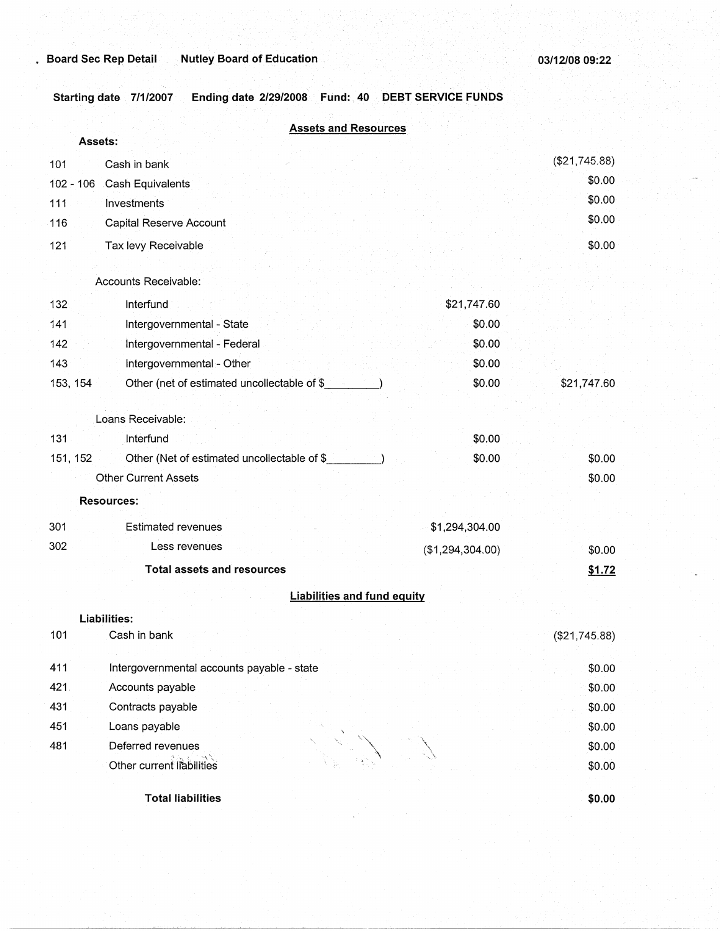Starting date 7/1/2007 Ending date 2/29/2008 Fund: 40 DEBT SERVICE FUNDS

|             | <b>Assets and Resources</b><br>Assets:      |                  |               |
|-------------|---------------------------------------------|------------------|---------------|
|             |                                             |                  | (\$21,745.88) |
| 101         | Cash in bank                                |                  | \$0.00        |
| $102 - 106$ | Cash Equivalents                            |                  | \$0.00        |
| 111         | Investments                                 |                  | \$0.00        |
| 116         | Capital Reserve Account                     |                  |               |
| 121         | Tax levy Receivable                         |                  | \$0.00        |
|             | Accounts Receivable:                        |                  |               |
| 132         | Interfund                                   | \$21,747.60      |               |
| 141         | Intergovernmental - State                   | \$0.00           |               |
| 142         | Intergovernmental - Federal                 | \$0.00           |               |
| 143         | Intergovernmental - Other                   | \$0.00           |               |
| 153, 154    | Other (net of estimated uncollectable of \$ | \$0.00           | \$21,747.60   |
|             | Loans Receivable:                           |                  |               |
| 131         | Interfund                                   | \$0.00           |               |
| 151, 152    | Other (Net of estimated uncollectable of \$ | \$0.00           | \$0.00        |
|             | <b>Other Current Assets</b>                 |                  | \$0.00        |
|             | <b>Resources:</b>                           |                  |               |
| 301         | <b>Estimated revenues</b>                   | \$1,294,304.00   |               |
| 302         | Less revenues                               | (\$1,294,304.00) | \$0.00        |
|             | <b>Total assets and resources</b>           |                  | \$1.72        |
|             |                                             |                  |               |
|             | <b>Liabilities and fund equity</b>          |                  |               |
| 101         | Liabilities:                                |                  |               |
|             | Cash in bank                                |                  | (\$21,745.88) |
| 411         | Intergovernmental accounts payable - state  |                  | \$0.00        |
| 421.        | Accounts payable                            |                  | \$0.00        |
| 431         | Contracts payable                           |                  | \$0.00        |
| 451         | Loans payable                               |                  | \$0.00        |
| 481         | Deferred revenues                           |                  | \$0.00        |
|             | Other current liabilities                   |                  | \$0.00        |
|             | <b>Total liabilities</b>                    |                  | \$0.00        |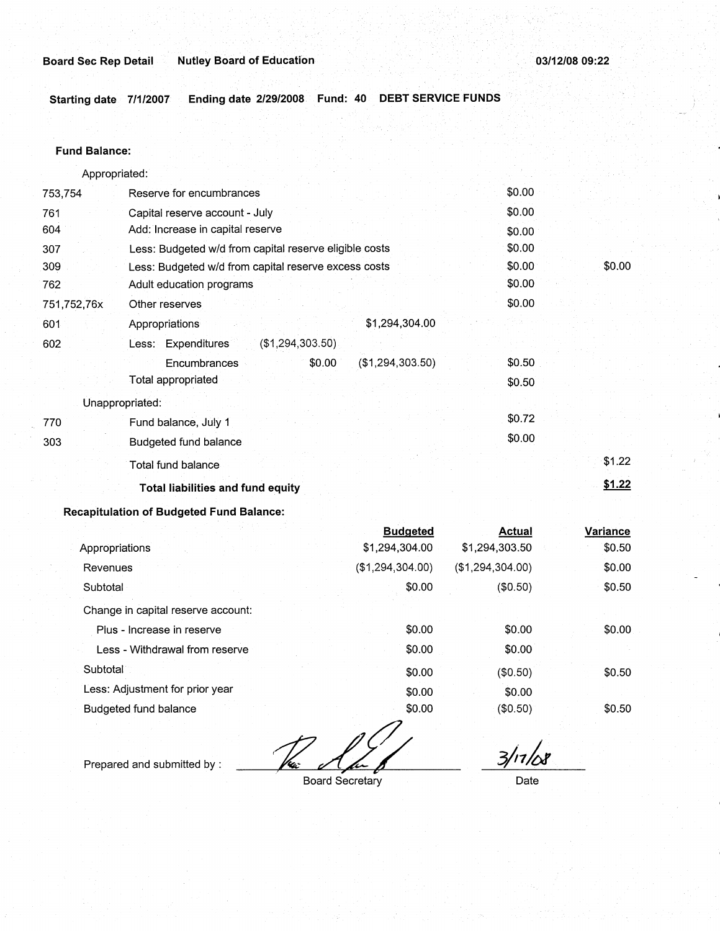**Starting date 7/1/2007 Ending date 2/29/2008 Fund: 40 DEBT SERVICE FUNDS** 

## **Fund Balance:**

753,754 761 604 Appropriated: Reserve for encumbrances Capital reserve account - July Add: Increase in capital reserve 307 309 762 751,752,76x 601 Less: Budgeted w/d from capital reserve eligible costs Less: Budgeted w/d from capital reserve excess costs Adult education programs 602 770 303 Other reserves Appropriations Less: Expenditures **Encumbrances** Total appropriated Unappropriated: Fund balance, July 1 Budgeted fund balance Total fund balance (\$1 (294,303.50) \$0.00 \$1,294,304.00 (\$1,294,303.50) **Total liabilities and fund equity**  \$0.00 \$0.00 \$0.00 \$0.00 \$0.00 \$0.00 \$0.00 \$0.50 \$0.50 \$0.72 \$0.00 \$0.00 \$1.22 **\$1.22** 

# **Recapitulation of Budgeted Fund Balance:**

|                                    | <b>Budgeted</b>  | Actual           | Variance |
|------------------------------------|------------------|------------------|----------|
| Appropriations                     | \$1,294,304.00   | \$1,294,303.50   | \$0.50   |
| Revenues                           | (\$1,294,304.00) | (\$1,294,304.00) | \$0.00   |
| Subtotal                           | \$0.00           | (\$0.50)         | \$0.50   |
| Change in capital reserve account: |                  |                  |          |
| Plus - Increase in reserve         | \$0.00           | \$0.00           | \$0.00   |
| Less - Withdrawal from reserve     | \$0.00           | \$0.00           |          |
| Subtotal                           | \$0.00           | (\$0.50)         | \$0.50   |
| Less: Adjustment for prior year    | \$0.00           | \$0.00           |          |
| Budgeted fund balance              | \$0.00           | (\$0.50)         | \$0.50   |

**Fax Alex 8**<br>Board Secretary

Prepared and submitted by :

*3/,1h* 

Date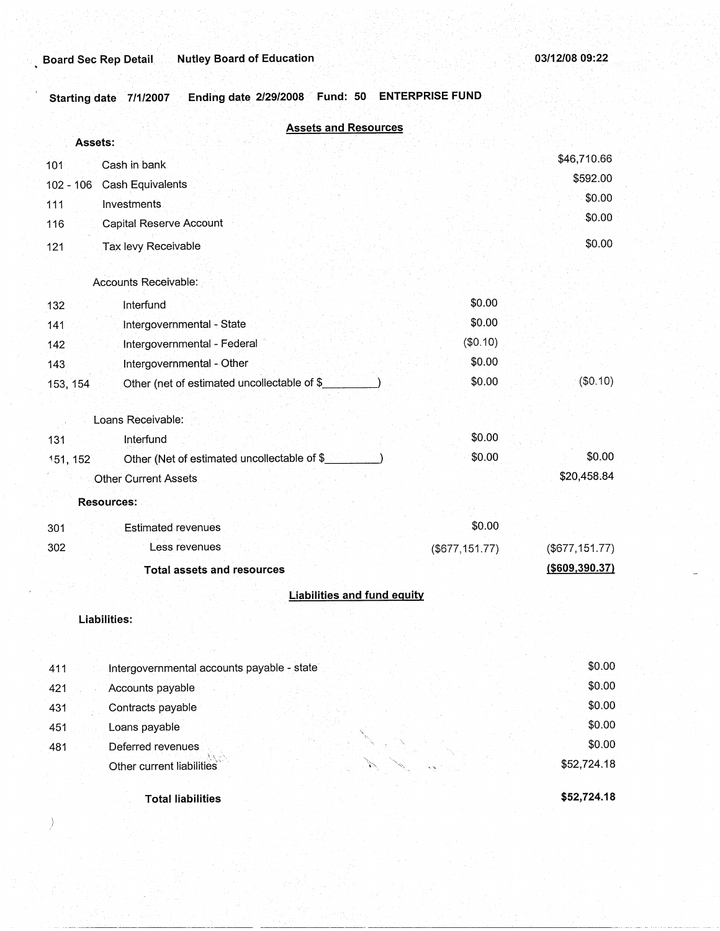)

Starting date 7/1/2007 Ending date 2/29/2008 Fund: 50 ENTERPRISE FUND

| Assets:   | <b>Assets and Resources</b>                 |                      |                   |
|-----------|---------------------------------------------|----------------------|-------------------|
| 101       | Cash in bank                                |                      | \$46,710.66       |
| 102 - 106 | Cash Equivalents                            |                      | \$592.00          |
| 111       | Investments                                 |                      | \$0.00            |
| 116       | <b>Capital Reserve Account</b>              |                      | \$0.00            |
| 121       | Tax levy Receivable                         |                      | \$0.00            |
|           | Accounts Receivable:                        |                      |                   |
| 132       | Interfund                                   | \$0.00               |                   |
| 141       | Intergovernmental - State                   | \$0.00               |                   |
| 142       | Intergovernmental - Federal                 | (\$0.10)             |                   |
| 143       | Intergovernmental - Other                   | \$0.00               |                   |
| 153, 154  | Other (net of estimated uncollectable of \$ | \$0.00               | (\$0.10)          |
|           | Loans Receivable:                           |                      |                   |
| 131       | Interfund                                   | \$0.00               |                   |
| 151, 152  | Other (Net of estimated uncollectable of \$ | \$0.00               | \$0.00            |
|           | <b>Other Current Assets</b>                 |                      | \$20,458.84       |
|           | <b>Resources:</b>                           |                      |                   |
| 301       | <b>Estimated revenues</b>                   | \$0.00               |                   |
| 302       | Less revenues                               | $($ \$677,151.77 $)$ | (\$677, 151.77)   |
|           | <b>Total assets and resources</b>           |                      | $($ \$609,390.37) |
|           | <b>Liabilities and fund equity</b>          |                      |                   |
|           | Liabilities:                                |                      |                   |
| 411       | Intergovernmental accounts payable - state  |                      | \$0.00            |
| 421       | Accounts payable                            |                      | \$0.00            |
| 431       | Contracts payable                           |                      | \$0.00            |
| 451       | Loans payable                               |                      | \$0.00            |
| 481       | Deferred revenues                           |                      | \$0.00            |
|           | Other current liabilities                   |                      | \$52,724.18       |
|           | <b>Total liabilities</b>                    |                      | \$52,724.18       |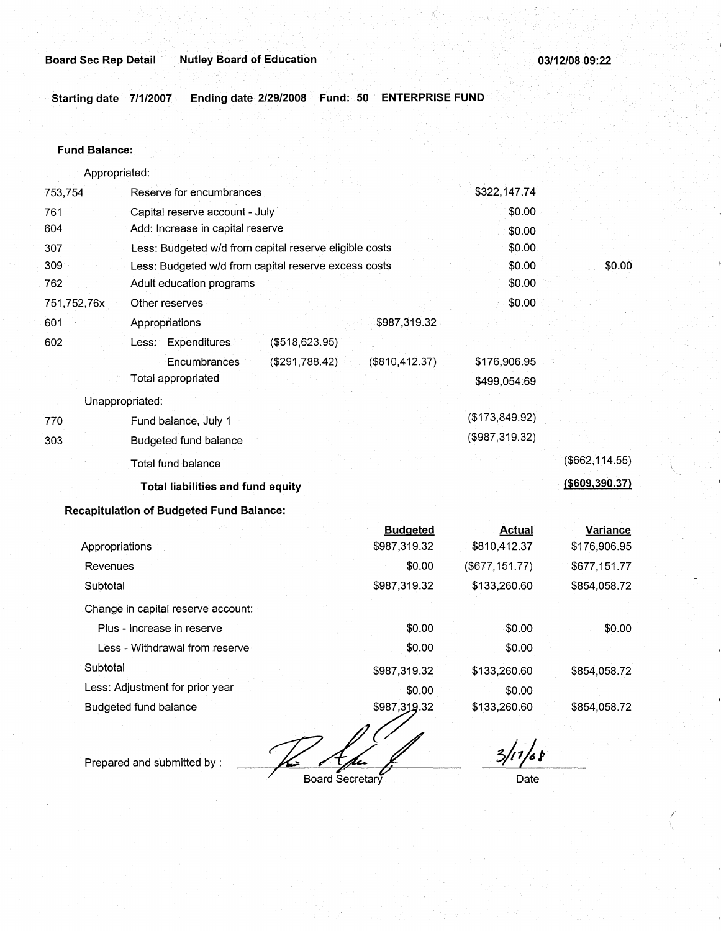**Starting date 7/1/2007 Ending date 2/29/2008. Fund: 50 ENTERPRISE FUND** 

#### **Fund Balance:**

753,754 · 761 604 Appropriated: Reserve for encumbrances Capital reserve account - July Add: Increase in capital reserve 307 309 762 751,752,76x 601 Less: Budgeted w/d from capital reserve eligible costs Less: Budgeted w/d from capital reserve excess costs Adult education programs 602 770 303 Other reserves Appropriations Less: Expenditures **Encumbrances** Total appropriated Unappropriated: Fund balance, July 1 Budgeted fund balance Total fund balance (\$518,623.95) (\$291,788.42) **Total liabilities and fund equity Recapitulation of Budgeted Fund Balance:**  \$987,319.32 (\$810,412.37) **Budgeted**  \$322,147.74 \$0.00 \$0.00 \$0.00 \$0.00 \$0.00 \$0.00 \$176,906.95 \$499,054:69 (\$173,849.92) (\$987,319.32) **Actual**  \$0.00 (\$662,114.55) **(\$609,390.37) Variance** 

| Appropriations                     | \$987,319.32 | \$810,412.37   | \$176,906.95 |
|------------------------------------|--------------|----------------|--------------|
| Revenues                           | \$0.00       | (\$677,151.77) | \$677,151.77 |
| Subtotal                           | \$987,319.32 | \$133,260.60   | \$854,058.72 |
| Change in capital reserve account: |              |                |              |
| Plus - Increase in reserve         | \$0.00       | \$0.00         | \$0.00       |
| Less - Withdrawal from reserve     | \$0.00       | \$0.00         |              |
| Subtotal                           | \$987,319.32 | \$133,260.60   | \$854,058.72 |
| Less: Adjustment for prior year    | \$0.00       | \$0.00         |              |
| Budgeted fund balance              | \$987,319.32 | \$133,260.60   | \$854,058.72 |
|                                    |              |                |              |

Prepared and submitted by :

Board Secretary

 $3/17/68$ 

Date

*r*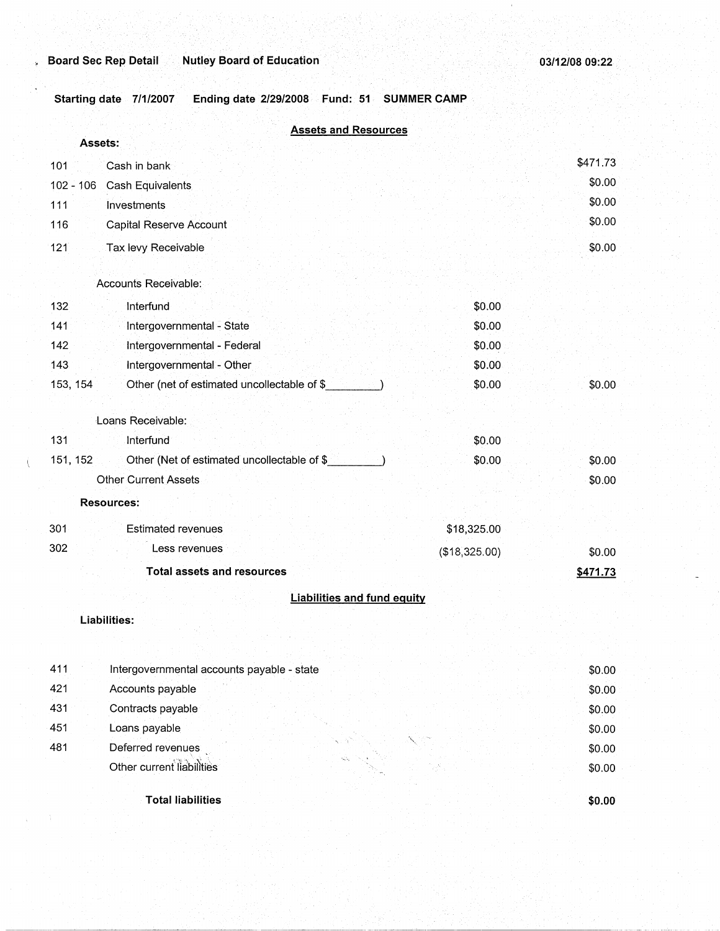Starting date 7/1/2007 Ending date 2/29/2008 Fund: 51 SUMMER CAMP

|     | <b>Assets and Resources</b><br>Assets:                  |                                    |          |
|-----|---------------------------------------------------------|------------------------------------|----------|
| 101 | Cash in bank                                            |                                    | \$471.73 |
|     | $102 - 106$<br>Cash Equivalents                         |                                    | \$0.00   |
| 111 | <b>Investments</b>                                      |                                    | \$0.00   |
| 116 | Capital Reserve Account                                 |                                    | \$0.00   |
| 121 | Tax levy Receivable                                     |                                    | \$0.00   |
|     | Accounts Receivable:                                    |                                    |          |
| 132 | Interfund                                               | \$0.00                             |          |
| 141 | Intergovernmental - State                               | \$0.00                             |          |
| 142 | Intergovernmental - Federal                             | \$0.00                             |          |
| 143 | Intergovernmental - Other                               | \$0.00                             |          |
|     | 153, 154<br>Other (net of estimated uncollectable of \$ | \$0.00                             | \$0.00   |
|     | Loans Receivable:                                       |                                    |          |
| 131 | Interfund                                               | \$0.00                             |          |
|     | 151, 152<br>Other (Net of estimated uncollectable of \$ | \$0.00                             | \$0.00   |
|     | <b>Other Current Assets</b>                             |                                    | \$0.00   |
|     | <b>Resources:</b>                                       |                                    |          |
| 301 | <b>Estimated revenues</b>                               | \$18,325.00                        |          |
| 302 | Less revenues                                           | (\$18,325.00)                      | \$0.00   |
|     | <b>Total assets and resources</b>                       |                                    | \$471.73 |
|     |                                                         | <b>Liabilities and fund equity</b> |          |
|     | <b>Liabilities:</b>                                     |                                    |          |
|     |                                                         |                                    |          |
| 411 | Intergovernmental accounts payable - state              |                                    | \$0.00   |
| 421 | Accounts payable                                        |                                    | \$0.00   |
| 431 | Contracts payable                                       |                                    | \$0.00   |
| 451 | Loans payable                                           |                                    | \$0.00   |
| 481 | Deferred revenues                                       |                                    | \$0.00   |
|     | Other current liabilities                               |                                    | \$0.00   |
|     | <b>Total liabilities</b>                                |                                    | \$0.00   |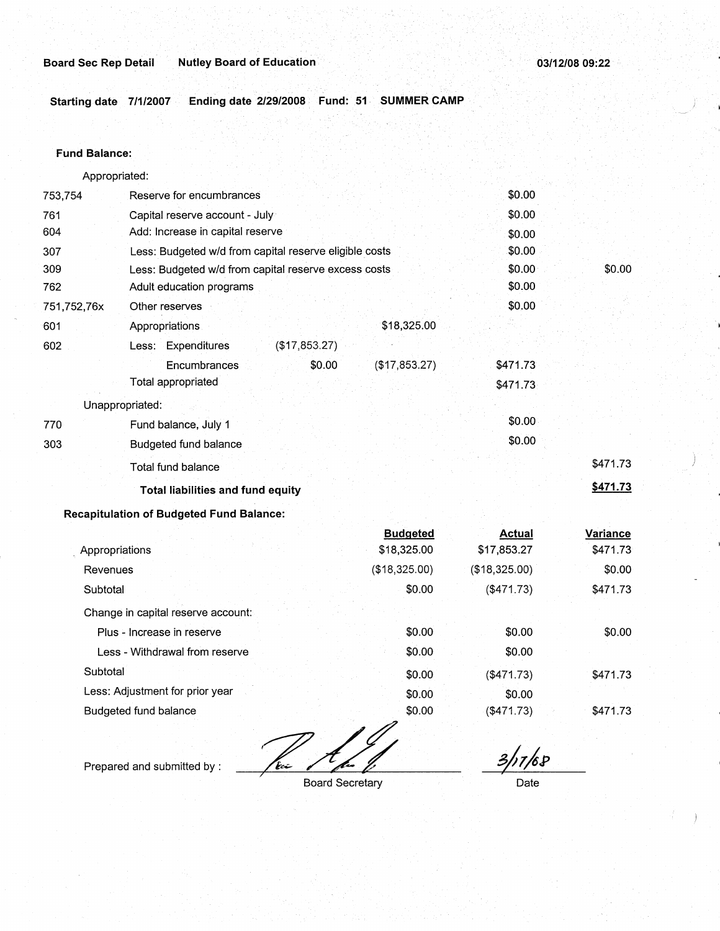•

Starting date 7/1/2007 Ending date 2/29/2008 Fund: 51 SUMMER CAMP

#### **Fund Balance:**

753,754 761 604 Appropriated: Reserve for encumbrances Capital reserve account - July Add: Increase in capital reserve 307 309 762 751,752,76x 601 Less: Budgeted w/d from capital reserve eligible costs Less: Budgeted w/d from capital reserve excess costs Adult education programs 602 Other reserves Appropriations Less: Expenditures **Encumbrances** Total appropriated Unappropriated: 770 Fund balance, July 1 303 Budgeted fund balance Total fund balance (\$17,853.27) \$0.00 **Total liabilities and fund equity Recapitulation of Budgeted Fund Balance:**  . Appropriations Revenues **Subtotal** \$18,325.00 (\$17,853.27) **Budgeted**  \$18,325.00 (\$18,325.00) \$0.00 \$0.00 \$0.00 \$0.00 \$0.00 \$0.00 \$0.00 \$0.00 \$0.00 \$471.73 \$471.73 \$0.00 \$0.00 \$471.73 ) **\$471.73 Actual Variance**  \$17,853.27 \$471.73  $($18,325.00)$  \$0.00 (\$471.73) \$471.73

Change in capital reserve account: Plus - Increase in reserve Less - Withdrawal from reserve

**Subtotal** Less: Adjustment for prior year Budgeted fund balance

ستشكا

Prepared and submitted by :

Board Secretary

\$0.00 \$0.00 \$0.00 \$0.00 \$0.00

*3/1).P* 

\$0.00

\$0.00

\$0.00 \$0.00

(\$471.73) \$471.73

(\$471.73) \$471.73

Date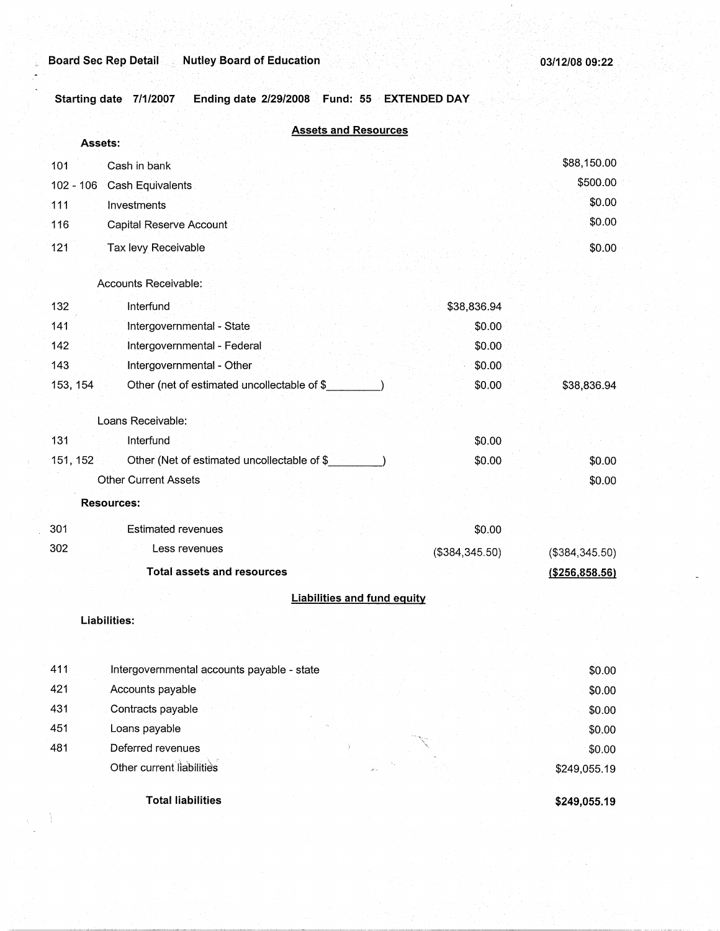**Total liabilities** 

**Starting date 7/1/2007 Ending date 2/29/2008 Fund: 55 EXTENDED DAY** 

|             | <b>Assets and Resources</b>                  |                                    |                |                  |
|-------------|----------------------------------------------|------------------------------------|----------------|------------------|
|             | <b>Assets:</b>                               |                                    |                |                  |
| 101         | Cash in bank                                 |                                    |                | \$88,150.00      |
| $102 - 106$ | Cash Equivalents                             |                                    |                | \$500.00         |
| 111         | Investments                                  |                                    |                | \$0.00           |
| 116         | Capital Reserve Account                      |                                    |                | \$0.00           |
| 121         | Tax levy Receivable                          |                                    |                | \$0.00           |
|             |                                              |                                    |                |                  |
|             | Accounts Receivable:                         |                                    |                |                  |
| 132         | Interfund                                    |                                    | \$38,836.94    |                  |
| 141         | Intergovernmental - State                    |                                    | \$0.00         |                  |
| 142         | Intergovernmental - Federal                  |                                    | \$0.00         |                  |
| 143         | Intergovernmental - Other                    |                                    | \$0.00         |                  |
| 153, 154    | Other (net of estimated uncollectable of \$  |                                    | \$0.00         | \$38,836.94      |
|             | Loans Receivable:                            |                                    |                |                  |
| 131         | Interfund                                    |                                    | \$0.00         |                  |
| 151, 152    | Other (Net of estimated uncollectable of \$_ |                                    | \$0.00         | \$0.00           |
|             | <b>Other Current Assets</b>                  |                                    |                | \$0.00           |
|             | <b>Resources:</b>                            |                                    |                |                  |
| 301         | <b>Estimated revenues</b>                    |                                    | \$0.00         |                  |
| 302         | Less revenues                                |                                    | (\$384,345.50) | (\$384,345.50)   |
|             | <b>Total assets and resources</b>            |                                    |                | ( \$256, 858.56) |
|             |                                              | <b>Liabilities and fund equity</b> |                |                  |
|             | Liabilities:                                 |                                    |                |                  |
|             |                                              |                                    |                |                  |
| 411         | Intergovernmental accounts payable - state   |                                    |                | \$0.00           |
| 421         | Accounts payable                             |                                    |                | \$0.00           |
| 431         | Contracts payable                            |                                    |                | \$0.00           |
| 451         | Loans payable                                |                                    |                | \$0.00           |
| 481         | Deferred revenues                            |                                    |                | \$0.00           |
|             | Other current liabilities                    |                                    |                | \$249,055.19     |
|             |                                              |                                    |                |                  |

**\$249,055.19**